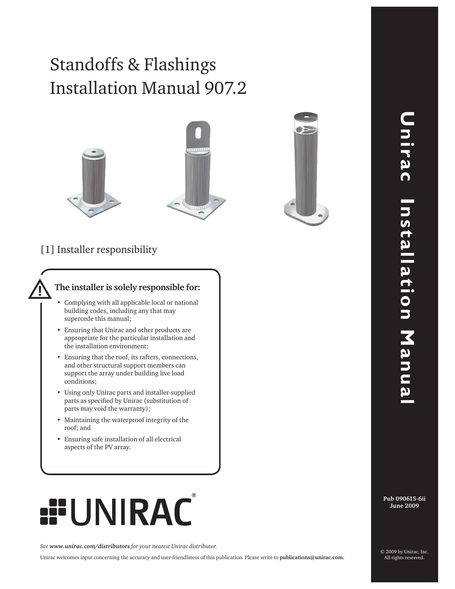# Installation Manual 907.2 Standoffs & Flashings





## [1] Installer responsibility

#### **The installer is solely responsible for:**

- Complying with all applicable local or national building codes, including any that may supercede this manual;
- Ensuring that Unirac and other products are appropriate for the particular installation and the installation environment;
- • Ensuring that the roof, its rafters, connections, and other structural support members can support the array under building live load conditions;
- • Using only Unirac parts and installer-supplied parts as specified by Unirac (substitution of parts may void the warranty);
- • Maintaining the waterproof integrity of the roof; and
- • Ensuring safe installation of all electrical aspects of the PV array.

# **RAC**

*See www.unirac.com/distributors for your nearest Unirac distributor.*

Unirac welcomes input concerning the accuracy and user-friendliness of this publication. Please write to **publications@unirac.com.**

**Pub 090615-6ii June 2009**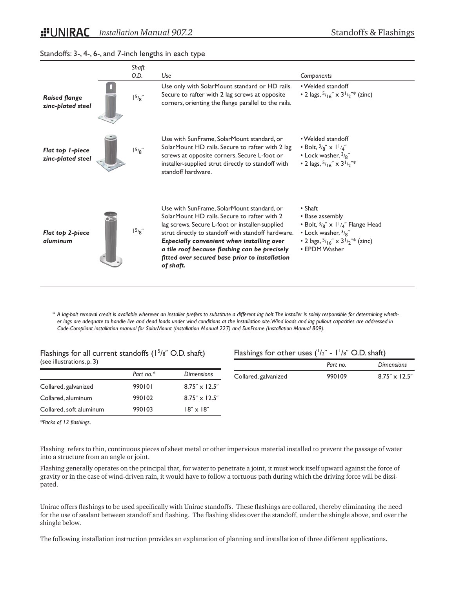#### Standoffs: 3-, 4-, 6-, and 7-inch lengths in each type



*\* A lag-bolt removal credit is available wherever an installer prefers to substitute a different lag bolt. The installer is solely responsible for determining whether lags are adequate to handle live and dead loads under wind conditions at the installation site. Wind loads and lag pullout capacities are addressed in Code-Compliant installation manual for SolarMount (Installation Manual 227) and SunFrame (Installation Manual 809).*

#### Flashings for all current standoffs  $(1^5/s^6)$  O.D. shaft) (see illustrations, p. 3)

|                         | Part no.* | <b>Dimensions</b>      |
|-------------------------|-----------|------------------------|
| Collared, galvanized    | 990101    | $8.75'' \times 12.5''$ |
| Collared, aluminum      | 990102    | $8.75'' \times 12.5''$ |
| Collared, soft aluminum | 990103    | $18'' \times 18''$     |

#### Flashings for other uses  $(^{1}/2"$  -  $1^{1}/8"$  O.D. shaft)

|                      | Part no. | <b>Dimensions</b>      |
|----------------------|----------|------------------------|
| Collared, galvanized | 990109   | $8.75'' \times 12.5''$ |

*\*Packs of 12 flashings.*

Flashing refers to thin, continuous pieces of sheet metal or other impervious material installed to prevent the passage of water into a structure from an angle or joint.

Flashing generally operates on the principal that, for water to penetrate a joint, it must work itself upward against the force of gravity or in the case of wind-driven rain, it would have to follow a tortuous path during which the driving force will be dissipated.

Unirac offers flashings to be used specifically with Unirac standoffs. These flashings are collared, thereby eliminating the need for the use of sealant between standoff and flashing. The flashing slides over the standoff, under the shingle above, and over the shingle below.

The following installation instruction provides an explanation of planning and installation of three different applications.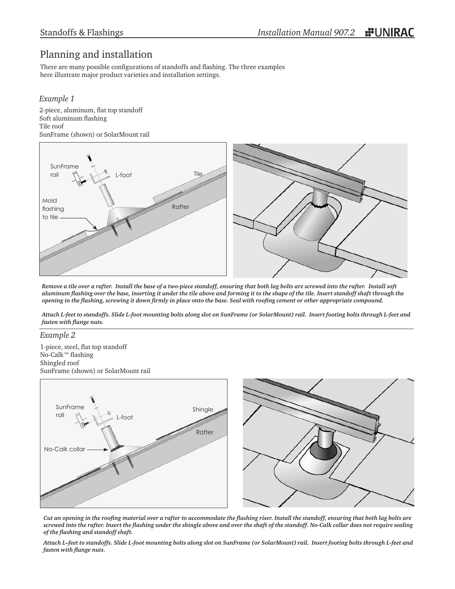# Planning and installation

There are many possible configurations of standoffs and flashing. The three examples here illustrate major product varieties and installation settings.

#### *Example 1*

2-piece, aluminum, flat top standoff Soft aluminum flashing Tile roof SunFrame (shown) or SolarMount rail



*Remove a tile over a rafter. Install the base of a two-piece standoff, ensuring that both lag bolts are screwed into the rafter. Install soft aluminum flashing over the base, inserting it under the tile above and forming it to the shape of the tile. Insert standoff shaft through the opening in the flashing, screwing it down firmly in place onto the base. Seal with roofing cement or other appropriate compound.*

*Attach L-feet to standoffs. Slide L-foot mounting bolts along slot on SunFrame (or SolarMount) rail. Insert footing bolts through L-feet and fasten with flange nuts.*

#### *Example 2*

1-piece, steel, flat top standoff No-Calk™ flashing Shingled roof SunFrame (shown) or SolarMount rail



*Cut an opening in the roofing material over a rafter to accommodate the flashing riser. Install the standoff, ensuring that both lag bolts are screwed into the rafter. Insert the flashing under the shingle above and over the shaft of the standoff. No-Calk collar does not require sealing of the flashing and standoff shaft.* 

*Attach L–feet to standoffs. Slide L-foot mounting bolts along slot on SunFrame (or SolarMount) rail. Insert footing bolts through L-feet and fasten with flange nuts.*